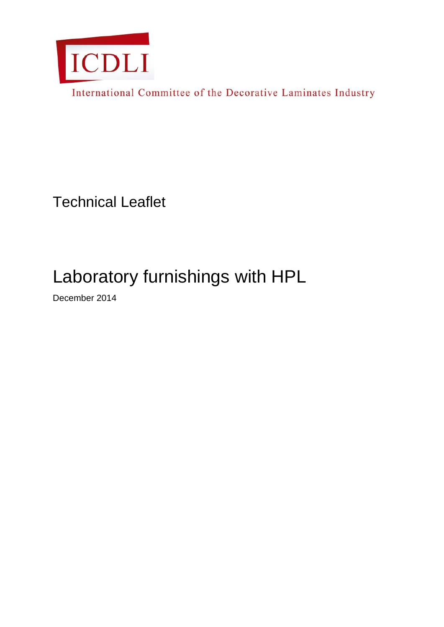

International Committee of the Decorative Laminates Industry

Technical Leaflet

# Laboratory furnishings with HPL

December 2014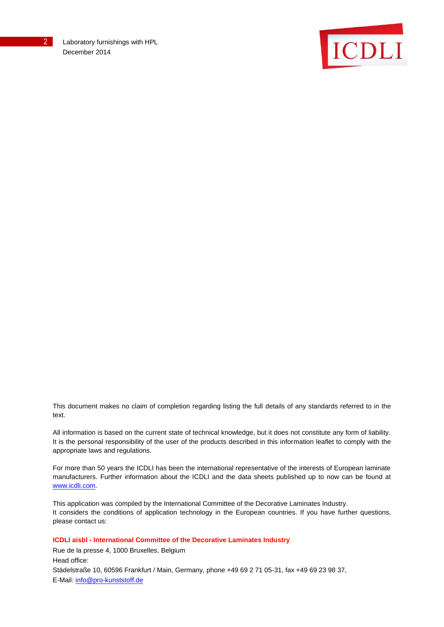

This document makes no claim of completion regarding listing the full details of any standards referred to in the text.

All information is based on the current state of technical knowledge, but it does not constitute any form of liability. It is the personal responsibility of the user of the products described in this information leaflet to comply with the appropriate laws and regulations.

For more than 50 years the ICDLI has been the international representative of the interests of European laminate manufacturers. Further information about the ICDLI and the data sheets published up to now can be found at [www.icdli.com.](http://www.icdli.com/)

This application was compiled by the International Committee of the Decorative Laminates Industry. It considers the conditions of application technology in the European countries. If you have further questions, please contact us:

**ICDLI aisbl - International Committee of the Decorative Laminates Industry**

Rue de la presse 4, 1000 Bruxelles, Belgium Head office: Städelstraße 10, 60596 Frankfurt / Main, Germany, phone +49 69 2 71 05-31, fax +49 69 23 98 37, E-Mail: [info@pro-kunststoff.de](mailto:info@pro-kunststoff.de)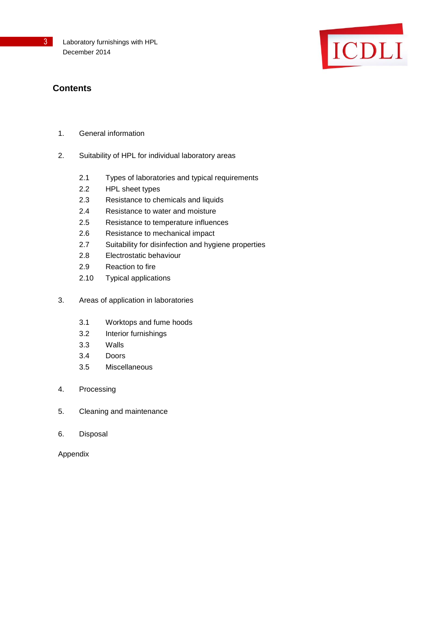

# **Contents**

- 1. General information
- 2. Suitability of HPL for individual laboratory areas
	- 2.1 Types of laboratories and typical requirements
	- 2.2 HPL sheet types
	- 2.3 Resistance to chemicals and liquids
	- 2.4 Resistance to water and moisture
	- 2.5 Resistance to temperature influences
	- 2.6 Resistance to mechanical impact
	- 2.7 Suitability for disinfection and hygiene properties
	- 2.8 Electrostatic behaviour
	- 2.9 Reaction to fire
	- 2.10 Typical applications
- 3. Areas of application in laboratories
	- 3.1 Worktops and fume hoods
	- 3.2 Interior furnishings
	- 3.3 Walls
	- 3.4 Doors
	- 3.5 Miscellaneous
- 4. Processing
- 5. Cleaning and maintenance
- 6. Disposal

Appendix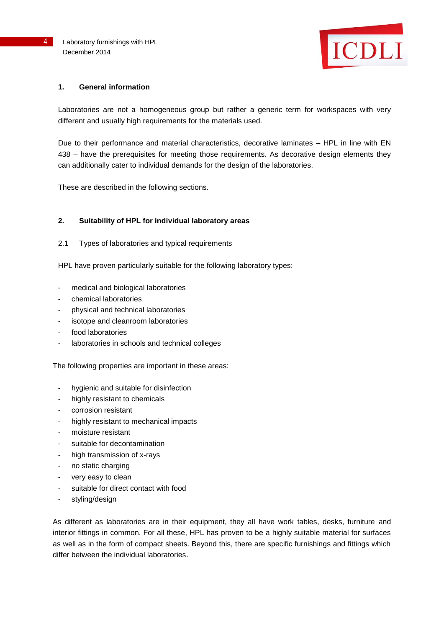

#### **1. General information**

Laboratories are not a homogeneous group but rather a generic term for workspaces with very different and usually high requirements for the materials used.

Due to their performance and material characteristics, decorative laminates – HPL in line with EN 438 – have the prerequisites for meeting those requirements. As decorative design elements they can additionally cater to individual demands for the design of the laboratories.

These are described in the following sections.

#### **2. Suitability of HPL for individual laboratory areas**

2.1 Types of laboratories and typical requirements

HPL have proven particularly suitable for the following laboratory types:

- medical and biological laboratories
- chemical laboratories
- physical and technical laboratories
- isotope and cleanroom laboratories
- food laboratories
- laboratories in schools and technical colleges

The following properties are important in these areas:

- hygienic and suitable for disinfection
- highly resistant to chemicals
- corrosion resistant
- highly resistant to mechanical impacts
- moisture resistant
- suitable for decontamination
- high transmission of x-rays
- no static charging
- very easy to clean
- suitable for direct contact with food
- styling/design

As different as laboratories are in their equipment, they all have work tables, desks, furniture and interior fittings in common. For all these, HPL has proven to be a highly suitable material for surfaces as well as in the form of compact sheets. Beyond this, there are specific furnishings and fittings which differ between the individual laboratories.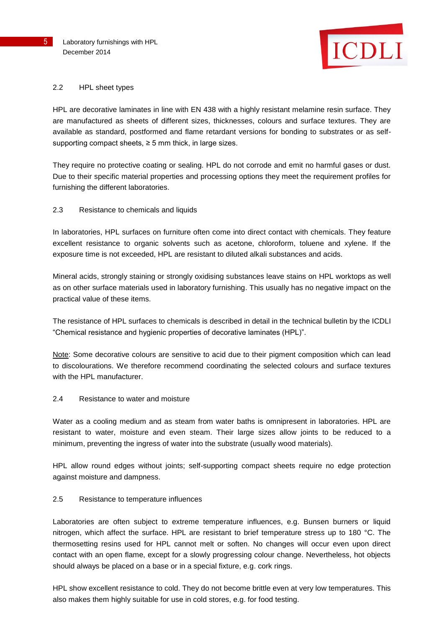

#### 2.2 HPL sheet types

HPL are decorative laminates in line with EN 438 with a highly resistant melamine resin surface. They are manufactured as sheets of different sizes, thicknesses, colours and surface textures. They are available as standard, postformed and flame retardant versions for bonding to substrates or as selfsupporting compact sheets,  $\geq$  5 mm thick, in large sizes.

They require no protective coating or sealing. HPL do not corrode and emit no harmful gases or dust. Due to their specific material properties and processing options they meet the requirement profiles for furnishing the different laboratories.

# 2.3 Resistance to chemicals and liquids

In laboratories, HPL surfaces on furniture often come into direct contact with chemicals. They feature excellent resistance to organic solvents such as acetone, chloroform, toluene and xylene. If the exposure time is not exceeded, HPL are resistant to diluted alkali substances and acids.

Mineral acids, strongly staining or strongly oxidising substances leave stains on HPL worktops as well as on other surface materials used in laboratory furnishing. This usually has no negative impact on the practical value of these items.

The resistance of HPL surfaces to chemicals is described in detail in the technical bulletin by the ICDLI "Chemical resistance and hygienic properties of decorative laminates (HPL)".

Note: Some decorative colours are sensitive to acid due to their pigment composition which can lead to discolourations. We therefore recommend coordinating the selected colours and surface textures with the HPL manufacturer.

#### 2.4 Resistance to water and moisture

Water as a cooling medium and as steam from water baths is omnipresent in laboratories. HPL are resistant to water, moisture and even steam. Their large sizes allow joints to be reduced to a minimum, preventing the ingress of water into the substrate (usually wood materials).

HPL allow round edges without joints; self-supporting compact sheets require no edge protection against moisture and dampness.

#### 2.5 Resistance to temperature influences

Laboratories are often subject to extreme temperature influences, e.g. Bunsen burners or liquid nitrogen, which affect the surface. HPL are resistant to brief temperature stress up to 180 °C. The thermosetting resins used for HPL cannot melt or soften. No changes will occur even upon direct contact with an open flame, except for a slowly progressing colour change. Nevertheless, hot objects should always be placed on a base or in a special fixture, e.g. cork rings.

HPL show excellent resistance to cold. They do not become brittle even at very low temperatures. This also makes them highly suitable for use in cold stores, e.g. for food testing.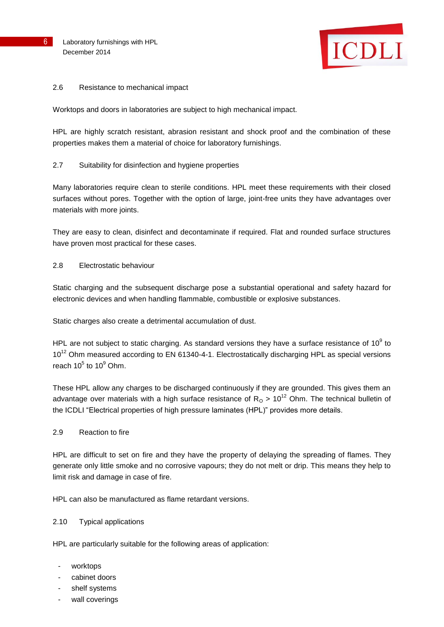

#### 2.6 Resistance to mechanical impact

Worktops and doors in laboratories are subject to high mechanical impact.

HPL are highly scratch resistant, abrasion resistant and shock proof and the combination of these properties makes them a material of choice for laboratory furnishings.

# 2.7 Suitability for disinfection and hygiene properties

Many laboratories require clean to sterile conditions. HPL meet these requirements with their closed surfaces without pores. Together with the option of large, joint-free units they have advantages over materials with more joints.

They are easy to clean, disinfect and decontaminate if required. Flat and rounded surface structures have proven most practical for these cases.

# 2.8 Electrostatic behaviour

Static charging and the subsequent discharge pose a substantial operational and safety hazard for electronic devices and when handling flammable, combustible or explosive substances.

Static charges also create a detrimental accumulation of dust.

HPL are not subject to static charging. As standard versions they have a surface resistance of 10 $^9$  to  $10^{12}$  Ohm measured according to EN 61340-4-1. Electrostatically discharging HPL as special versions reach  $10^5$  to  $10^9$  Ohm.

These HPL allow any charges to be discharged continuously if they are grounded. This gives them an advantage over materials with a high surface resistance of  $R<sub>O</sub> > 10<sup>12</sup>$  Ohm. The technical bulletin of the ICDLI "Electrical properties of high pressure laminates (HPL)" provides more details.

# 2.9 Reaction to fire

HPL are difficult to set on fire and they have the property of delaying the spreading of flames. They generate only little smoke and no corrosive vapours; they do not melt or drip. This means they help to limit risk and damage in case of fire.

HPL can also be manufactured as flame retardant versions.

# 2.10 Typical applications

HPL are particularly suitable for the following areas of application:

- worktops
- cabinet doors
- shelf systems
- wall coverings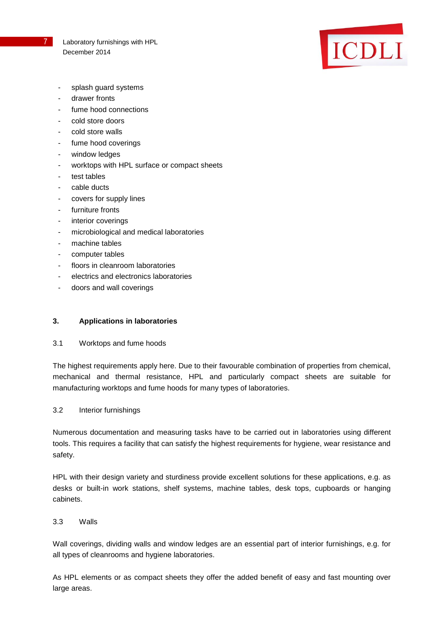

- splash quard systems
- drawer fronts
- fume hood connections
- cold store doors
- cold store walls
- fume hood coverings
- window ledges
- worktops with HPL surface or compact sheets
- test tables
- cable ducts
- covers for supply lines
- furniture fronts
- interior coverings
- microbiological and medical laboratories
- machine tables
- computer tables
- floors in cleanroom laboratories
- electrics and electronics laboratories
- doors and wall coverings

# **3. Applications in laboratories**

3.1 Worktops and fume hoods

The highest requirements apply here. Due to their favourable combination of properties from chemical, mechanical and thermal resistance, HPL and particularly compact sheets are suitable for manufacturing worktops and fume hoods for many types of laboratories.

#### 3.2 Interior furnishings

Numerous documentation and measuring tasks have to be carried out in laboratories using different tools. This requires a facility that can satisfy the highest requirements for hygiene, wear resistance and safety.

HPL with their design variety and sturdiness provide excellent solutions for these applications, e.g. as desks or built-in work stations, shelf systems, machine tables, desk tops, cupboards or hanging cabinets.

#### 3.3 Walls

Wall coverings, dividing walls and window ledges are an essential part of interior furnishings, e.g. for all types of cleanrooms and hygiene laboratories.

As HPL elements or as compact sheets they offer the added benefit of easy and fast mounting over large areas.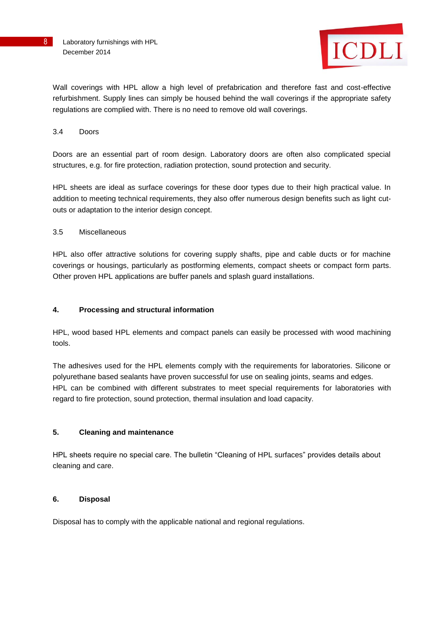

Wall coverings with HPL allow a high level of prefabrication and therefore fast and cost-effective refurbishment. Supply lines can simply be housed behind the wall coverings if the appropriate safety regulations are complied with. There is no need to remove old wall coverings.

#### 3.4 Doors

Doors are an essential part of room design. Laboratory doors are often also complicated special structures, e.g. for fire protection, radiation protection, sound protection and security.

HPL sheets are ideal as surface coverings for these door types due to their high practical value. In addition to meeting technical requirements, they also offer numerous design benefits such as light cutouts or adaptation to the interior design concept.

#### 3.5 Miscellaneous

HPL also offer attractive solutions for covering supply shafts, pipe and cable ducts or for machine coverings or housings, particularly as postforming elements, compact sheets or compact form parts. Other proven HPL applications are buffer panels and splash guard installations.

#### **4. Processing and structural information**

HPL, wood based HPL elements and compact panels can easily be processed with wood machining tools.

The adhesives used for the HPL elements comply with the requirements for laboratories. Silicone or polyurethane based sealants have proven successful for use on sealing joints, seams and edges. HPL can be combined with different substrates to meet special requirements for laboratories with regard to fire protection, sound protection, thermal insulation and load capacity.

# **5. Cleaning and maintenance**

HPL sheets require no special care. The bulletin "Cleaning of HPL surfaces" provides details about cleaning and care.

#### **6. Disposal**

Disposal has to comply with the applicable national and regional regulations.